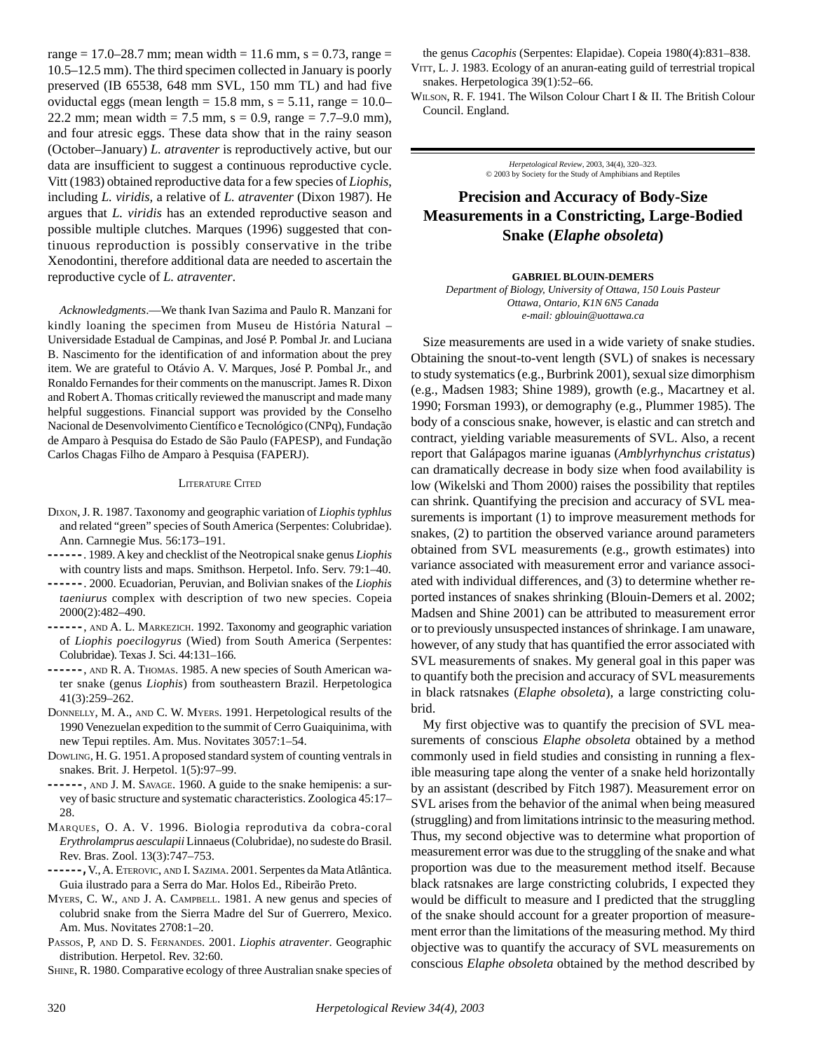range = 17.0–28.7 mm; mean width = 11.6 mm,  $s = 0.73$ , range = 10.5–12.5 mm). The third specimen collected in January is poorly preserved (IB 65538, 648 mm SVL, 150 mm TL) and had five oviductal eggs (mean length =  $15.8$  mm, s =  $5.11$ , range =  $10.0-$ 22.2 mm; mean width = 7.5 mm,  $s = 0.9$ , range = 7.7–9.0 mm), and four atresic eggs. These data show that in the rainy season (October–January) *L. atraventer* is reproductively active, but our data are insufficient to suggest a continuous reproductive cycle. Vitt (1983) obtained reproductive data for a few species of *Liophis*, including *L. viridis,* a relative of *L. atraventer* (Dixon 1987). He argues that *L. viridis* has an extended reproductive season and possible multiple clutches. Marques (1996) suggested that continuous reproduction is possibly conservative in the tribe Xenodontini, therefore additional data are needed to ascertain the reproductive cycle of *L. atraventer*.

*Acknowledgments*.—We thank Ivan Sazima and Paulo R. Manzani for kindly loaning the specimen from Museu de História Natural – Universidade Estadual de Campinas, and José P. Pombal Jr. and Luciana B. Nascimento for the identification of and information about the prey item. We are grateful to Otávio A. V. Marques, José P. Pombal Jr., and Ronaldo Fernandes for their comments on the manuscript. James R. Dixon and Robert A. Thomas critically reviewed the manuscript and made many helpful suggestions. Financial support was provided by the Conselho Nacional de Desenvolvimento Científico e Tecnológico (CNPq), Fundação de Amparo à Pesquisa do Estado de São Paulo (FAPESP), and Fundação Carlos Chagas Filho de Amparo à Pesquisa (FAPERJ).

### LITERATURE CITED

- DIXON, J. R. 1987. Taxonomy and geographic variation of *Liophis typhlus* and related "green" species of South America (Serpentes: Colubridae). Ann. Carnnegie Mus. 56:173–191.
- *––––––*. 1989. A key and checklist of the Neotropical snake genus *Liophis* with country lists and maps. Smithson. Herpetol. Info. Serv. 79:1–40.
- *––––––*. 2000. Ecuadorian, Peruvian, and Bolivian snakes of the *Liophis taeniurus* complex with description of two new species. Copeia 2000(2):482–490.
- *––––––*, AND A. L. MARKEZICH. 1992. Taxonomy and geographic variation of *Liophis poecilogyrus* (Wied) from South America (Serpentes: Colubridae). Texas J. Sci. 44:131–166.
- *––––––*, AND R. A. THOMAS. 1985. A new species of South American water snake (genus *Liophis*) from southeastern Brazil. Herpetologica 41(3):259–262.
- DONNELLY, M. A., AND C. W. MYERS. 1991. Herpetological results of the 1990 Venezuelan expedition to the summit of Cerro Guaiquinima, with new Tepui reptiles. Am. Mus. Novitates 3057:1–54.
- DOWLING, H. G. 1951. A proposed standard system of counting ventrals in snakes. Brit. J. Herpetol. 1(5):97–99.

*––––––*, AND J. M. SAVAGE. 1960. A guide to the snake hemipenis: a survey of basic structure and systematic characteristics. Zoologica 45:17– 28.

- MARQUES, O. A. V. 1996. Biologia reprodutiva da cobra-coral *Erythrolamprus aesculapii* Linnaeus (Colubridae), no sudeste do Brasil. Rev. Bras. Zool. 13(3):747–753.
- *––––––,* V., A. ETEROVIC, AND I. SAZIMA. 2001. Serpentes da Mata Atlântica. Guia ilustrado para a Serra do Mar. Holos Ed., Ribeirão Preto.
- MYERS, C. W., AND J. A. CAMPBELL. 1981. A new genus and species of colubrid snake from the Sierra Madre del Sur of Guerrero, Mexico. Am. Mus. Novitates 2708:1–20.

PASSOS, P, AND D. S. FERNANDES. 2001. *Liophis atraventer*. Geographic distribution. Herpetol. Rev. 32:60.

SHINE, R. 1980. Comparative ecology of three Australian snake species of

the genus *Cacophis* (Serpentes: Elapidae). Copeia 1980(4):831–838.

VITT, L. J. 1983. Ecology of an anuran-eating guild of terrestrial tropical snakes. Herpetologica 39(1):52–66.

WILSON, R. F. 1941. The Wilson Colour Chart I & II. The British Colour Council. England.

> *Herpetological Review*, 2003, 34(4), 320–323. © 2003 by Society for the Study of Amphibians and Reptiles

# **Precision and Accuracy of Body-Size Measurements in a Constricting, Large-Bodied Snake (***Elaphe obsoleta***)**

### **GABRIEL BLOUIN-DEMERS**

*Department of Biology, University of Ottawa, 150 Louis Pasteur Ottawa, Ontario, K1N 6N5 Canada e-mail: gblouin@uottawa.ca*

Size measurements are used in a wide variety of snake studies. Obtaining the snout-to-vent length (SVL) of snakes is necessary to study systematics (e.g., Burbrink 2001), sexual size dimorphism (e.g., Madsen 1983; Shine 1989), growth (e.g., Macartney et al. 1990; Forsman 1993), or demography (e.g., Plummer 1985). The body of a conscious snake, however, is elastic and can stretch and contract, yielding variable measurements of SVL. Also, a recent report that Galápagos marine iguanas (*Amblyrhynchus cristatus*) can dramatically decrease in body size when food availability is low (Wikelski and Thom 2000) raises the possibility that reptiles can shrink. Quantifying the precision and accuracy of SVL measurements is important (1) to improve measurement methods for snakes, (2) to partition the observed variance around parameters obtained from SVL measurements (e.g., growth estimates) into variance associated with measurement error and variance associated with individual differences, and (3) to determine whether reported instances of snakes shrinking (Blouin-Demers et al. 2002; Madsen and Shine 2001) can be attributed to measurement error or to previously unsuspected instances of shrinkage. I am unaware, however, of any study that has quantified the error associated with SVL measurements of snakes. My general goal in this paper was to quantify both the precision and accuracy of SVL measurements in black ratsnakes (*Elaphe obsoleta*), a large constricting colubrid.

My first objective was to quantify the precision of SVL measurements of conscious *Elaphe obsoleta* obtained by a method commonly used in field studies and consisting in running a flexible measuring tape along the venter of a snake held horizontally by an assistant (described by Fitch 1987). Measurement error on SVL arises from the behavior of the animal when being measured (struggling) and from limitations intrinsic to the measuring method. Thus, my second objective was to determine what proportion of measurement error was due to the struggling of the snake and what proportion was due to the measurement method itself. Because black ratsnakes are large constricting colubrids, I expected they would be difficult to measure and I predicted that the struggling of the snake should account for a greater proportion of measurement error than the limitations of the measuring method. My third objective was to quantify the accuracy of SVL measurements on conscious *Elaphe obsoleta* obtained by the method described by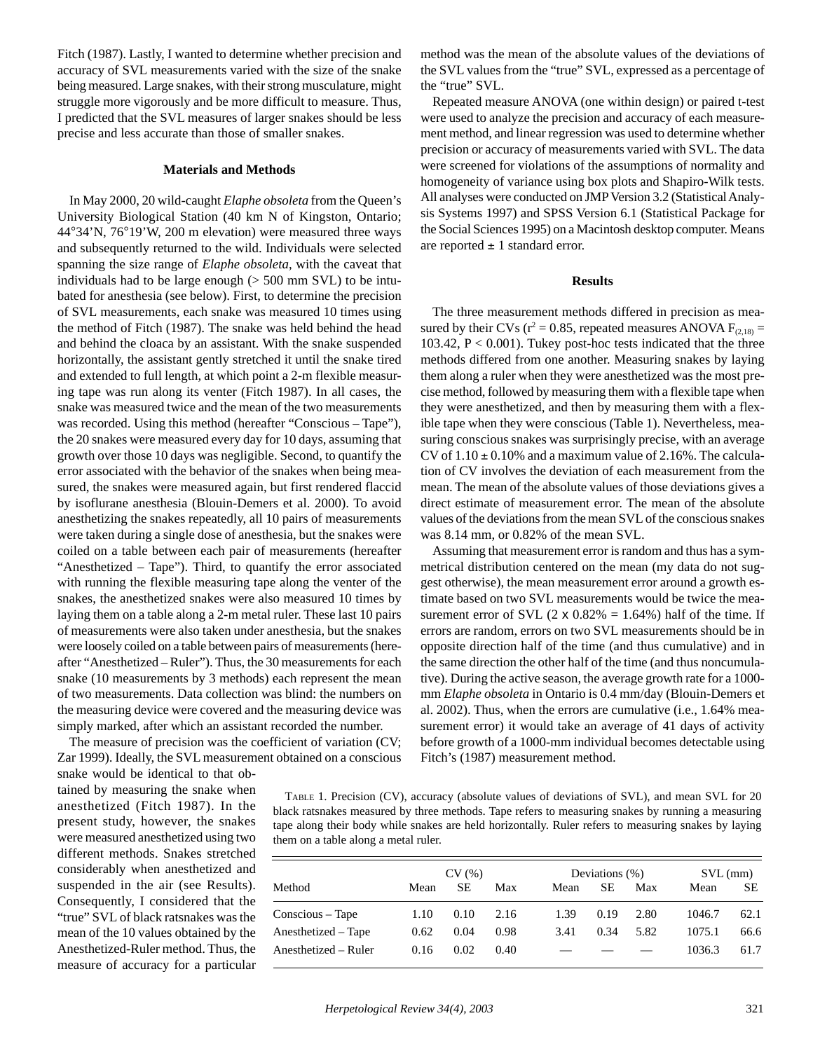Fitch (1987). Lastly, I wanted to determine whether precision and accuracy of SVL measurements varied with the size of the snake being measured. Large snakes, with their strong musculature, might struggle more vigorously and be more difficult to measure. Thus, I predicted that the SVL measures of larger snakes should be less precise and less accurate than those of smaller snakes.

## **Materials and Methods**

In May 2000, 20 wild-caught *Elaphe obsoleta* from the Queen's University Biological Station (40 km N of Kingston, Ontario; 44°34'N, 76°19'W, 200 m elevation) were measured three ways and subsequently returned to the wild. Individuals were selected spanning the size range of *Elaphe obsoleta*, with the caveat that individuals had to be large enough  $(> 500 \text{ mm}$  SVL) to be intubated for anesthesia (see below). First, to determine the precision of SVL measurements, each snake was measured 10 times using the method of Fitch (1987). The snake was held behind the head and behind the cloaca by an assistant. With the snake suspended horizontally, the assistant gently stretched it until the snake tired and extended to full length, at which point a 2-m flexible measuring tape was run along its venter (Fitch 1987). In all cases, the snake was measured twice and the mean of the two measurements was recorded. Using this method (hereafter "Conscious – Tape"), the 20 snakes were measured every day for 10 days, assuming that growth over those 10 days was negligible. Second, to quantify the error associated with the behavior of the snakes when being measured, the snakes were measured again, but first rendered flaccid by isoflurane anesthesia (Blouin-Demers et al. 2000). To avoid anesthetizing the snakes repeatedly, all 10 pairs of measurements were taken during a single dose of anesthesia, but the snakes were coiled on a table between each pair of measurements (hereafter "Anesthetized – Tape"). Third, to quantify the error associated with running the flexible measuring tape along the venter of the snakes, the anesthetized snakes were also measured 10 times by laying them on a table along a 2-m metal ruler. These last 10 pairs of measurements were also taken under anesthesia, but the snakes were loosely coiled on a table between pairs of measurements (hereafter "Anesthetized – Ruler"). Thus, the 30 measurements for each snake (10 measurements by 3 methods) each represent the mean of two measurements. Data collection was blind: the numbers on the measuring device were covered and the measuring device was simply marked, after which an assistant recorded the number.

The measure of precision was the coefficient of variation (CV; Zar 1999). Ideally, the SVL measurement obtained on a conscious

snake would be identical to that obtained by measuring the snake when anesthetized (Fitch 1987). In the present study, however, the snakes were measured anesthetized using two different methods. Snakes stretched considerably when anesthetized and suspended in the air (see Results). Consequently, I considered that the "true" SVL of black ratsnakes was the mean of the 10 values obtained by the Anesthetized-Ruler method. Thus, the measure of accuracy for a particular method was the mean of the absolute values of the deviations of the SVL values from the "true" SVL, expressed as a percentage of the "true" SVL.

Repeated measure ANOVA (one within design) or paired t-test were used to analyze the precision and accuracy of each measurement method, and linear regression was used to determine whether precision or accuracy of measurements varied with SVL. The data were screened for violations of the assumptions of normality and homogeneity of variance using box plots and Shapiro-Wilk tests. All analyses were conducted on JMP Version 3.2 (Statistical Analysis Systems 1997) and SPSS Version 6.1 (Statistical Package for the Social Sciences 1995) on a Macintosh desktop computer. Means are reported  $\pm$  1 standard error.

## **Results**

The three measurement methods differed in precision as measured by their CVs ( $r^2 = 0.85$ , repeated measures ANOVA  $F_{(2,18)} =$ 103.42,  $P < 0.001$ ). Tukey post-hoc tests indicated that the three methods differed from one another. Measuring snakes by laying them along a ruler when they were anesthetized was the most precise method, followed by measuring them with a flexible tape when they were anesthetized, and then by measuring them with a flexible tape when they were conscious (Table 1). Nevertheless, measuring conscious snakes was surprisingly precise, with an average CV of  $1.10 \pm 0.10\%$  and a maximum value of 2.16%. The calculation of CV involves the deviation of each measurement from the mean. The mean of the absolute values of those deviations gives a direct estimate of measurement error. The mean of the absolute values of the deviations from the mean SVL of the conscious snakes was 8.14 mm, or 0.82% of the mean SVL.

Assuming that measurement error is random and thus has a symmetrical distribution centered on the mean (my data do not suggest otherwise), the mean measurement error around a growth estimate based on two SVL measurements would be twice the measurement error of SVL  $(2 \times 0.82\% = 1.64\%)$  half of the time. If errors are random, errors on two SVL measurements should be in opposite direction half of the time (and thus cumulative) and in the same direction the other half of the time (and thus noncumulative). During the active season, the average growth rate for a 1000 mm *Elaphe obsoleta* in Ontario is 0.4 mm/day (Blouin-Demers et al. 2002). Thus, when the errors are cumulative (i.e., 1.64% measurement error) it would take an average of 41 days of activity before growth of a 1000-mm individual becomes detectable using Fitch's (1987) measurement method.

TABLE 1. Precision (CV), accuracy (absolute values of deviations of SVL), and mean SVL for 20 black ratsnakes measured by three methods. Tape refers to measuring snakes by running a measuring tape along their body while snakes are held horizontally. Ruler refers to measuring snakes by laying them on a table along a metal ruler.

| Method               | CV(%) |      |      | Deviations $(\%)$ |      |      | $SVL$ (mm) |      |
|----------------------|-------|------|------|-------------------|------|------|------------|------|
|                      | Mean  | SЕ   | Max  | Mean              | SЕ   | Max  | Mean       | SЕ   |
| Conscious – Tape     | 1.10  | 0.10 | 2.16 | 1.39              | 0.19 | 2.80 | 1046.7     | 62.1 |
| Anesthetized – Tape  | 0.62  | 0.04 | 0.98 | 3.41              | 0.34 | 5.82 | 1075.1     | 66.6 |
| Anesthetized – Ruler | 0.16  | 0.02 | 0.40 |                   |      |      | 1036.3     | 61.7 |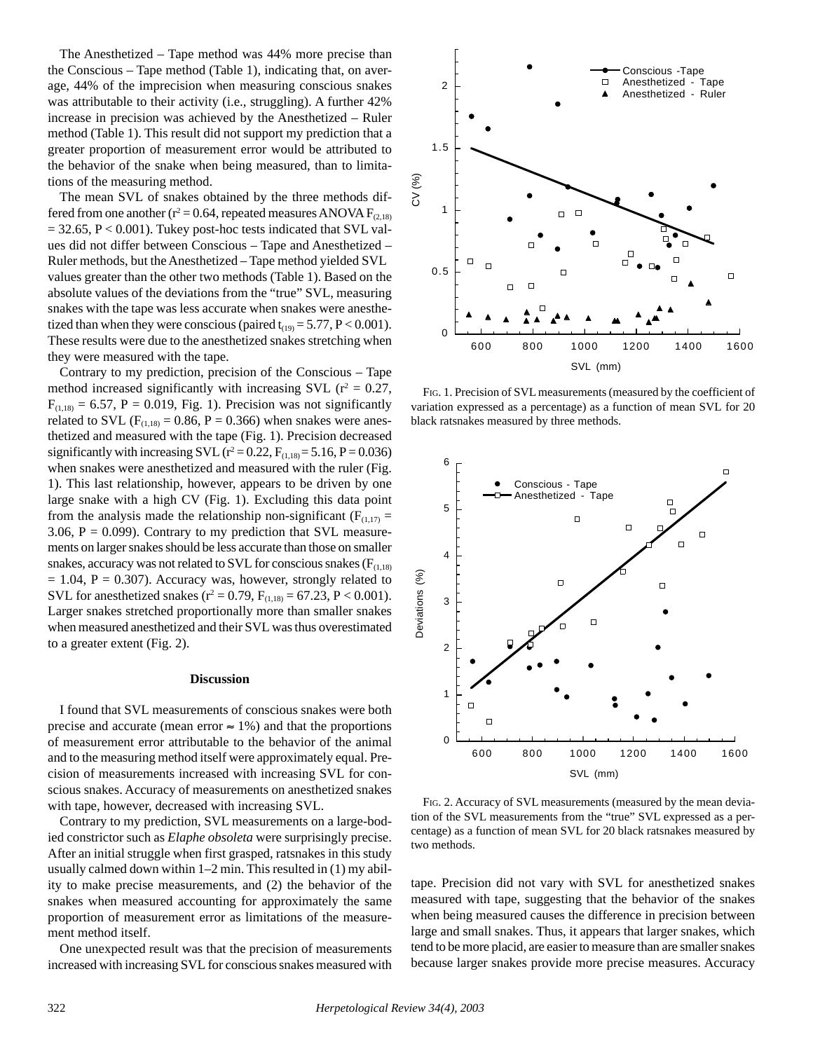The Anesthetized – Tape method was 44% more precise than the Conscious – Tape method (Table 1), indicating that, on average, 44% of the imprecision when measuring conscious snakes was attributable to their activity (i.e., struggling). A further 42% increase in precision was achieved by the Anesthetized – Ruler method (Table 1). This result did not support my prediction that a greater proportion of measurement error would be attributed to the behavior of the snake when being measured, than to limitations of the measuring method.

The mean SVL of snakes obtained by the three methods differed from one another ( $r^2 = 0.64$ , repeated measures ANOVA  $F_{(2,18)}$ )  $= 32.65$ ,  $P < 0.001$ ). Tukey post-hoc tests indicated that SVL values did not differ between Conscious – Tape and Anesthetized – Ruler methods, but the Anesthetized – Tape method yielded SVL values greater than the other two methods (Table 1). Based on the absolute values of the deviations from the "true" SVL, measuring snakes with the tape was less accurate when snakes were anesthetized than when they were conscious (paired  $t_{(19)} = 5.77$ ,  $P < 0.001$ ). These results were due to the anesthetized snakes stretching when they were measured with the tape.

Contrary to my prediction, precision of the Conscious – Tape method increased significantly with increasing SVL ( $r^2 = 0.27$ ,  $F_{(1,18)} = 6.57$ ,  $P = 0.019$ , Fig. 1). Precision was not significantly related to SVL ( $F_{(1,18)} = 0.86$ ,  $P = 0.366$ ) when snakes were anesthetized and measured with the tape (Fig. 1). Precision decreased significantly with increasing SVL ( $r^2 = 0.22$ ,  $F_{(1,18)} = 5.16$ ,  $P = 0.036$ ) when snakes were anesthetized and measured with the ruler (Fig. 1). This last relationship, however, appears to be driven by one large snake with a high CV (Fig. 1). Excluding this data point from the analysis made the relationship non-significant ( $F_{(1,17)}$  = 3.06,  $P = 0.099$ ). Contrary to my prediction that SVL measurements on larger snakes should be less accurate than those on smaller snakes, accuracy was not related to SVL for conscious snakes ( $F<sub>(1,18)</sub>$ )  $= 1.04$ ,  $P = 0.307$ ). Accuracy was, however, strongly related to SVL for anesthetized snakes ( $r^2 = 0.79$ ,  $F_{(1,18)} = 67.23$ ,  $P < 0.001$ ). Larger snakes stretched proportionally more than smaller snakes when measured anesthetized and their SVL was thus overestimated to a greater extent (Fig. 2).

### **Discussion**

I found that SVL measurements of conscious snakes were both precise and accurate (mean error  $\approx 1\%$ ) and that the proportions of measurement error attributable to the behavior of the animal and to the measuring method itself were approximately equal. Precision of measurements increased with increasing SVL for conscious snakes. Accuracy of measurements on anesthetized snakes with tape, however, decreased with increasing SVL.

Contrary to my prediction, SVL measurements on a large-bodied constrictor such as *Elaphe obsoleta* were surprisingly precise. After an initial struggle when first grasped, ratsnakes in this study usually calmed down within 1–2 min. This resulted in (1) my ability to make precise measurements, and (2) the behavior of the snakes when measured accounting for approximately the same proportion of measurement error as limitations of the measurement method itself.

One unexpected result was that the precision of measurements increased with increasing SVL for conscious snakes measured with



FIG. 1. Precision of SVL measurements (measured by the coefficient of variation expressed as a percentage) as a function of mean SVL for 20 black ratsnakes measured by three methods.



FIG. 2. Accuracy of SVL measurements (measured by the mean deviation of the SVL measurements from the "true" SVL expressed as a percentage) as a function of mean SVL for 20 black ratsnakes measured by two methods.

tape. Precision did not vary with SVL for anesthetized snakes measured with tape, suggesting that the behavior of the snakes when being measured causes the difference in precision between large and small snakes. Thus, it appears that larger snakes, which tend to be more placid, are easier to measure than are smaller snakes because larger snakes provide more precise measures. Accuracy